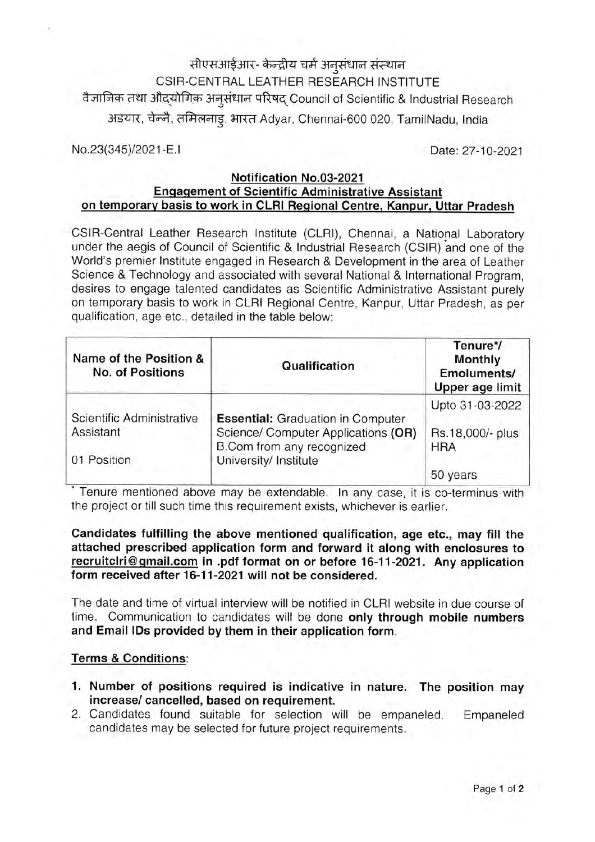सीएसआईआर- केन्द्रीय चर्म अनुसंधान संस्थान CSIR-CENTRAL LEATHER RESEARCH INSTITUTE वैज्ञानिक तथा औदयोगिक अनुसंधान परिषद Council of Scientific & Industrial Research अडयार, चेन्नै, तमिलनाडू, भारत Adyar, Chennai-600 020, TamilNadu, India

No.23(345)/2021-E.I

Date: 27-10-2021

### Notification No.03-2021 **Engagement of Scientific Administrative Assistant** on temporary basis to work in CLRI Regional Centre, Kanpur, Uttar Pradesh

CSIR-Central Leather Research Institute (CLRI), Chennai, a National Laboratory under the aegis of Council of Scientific & Industrial Research (CSIR) and one of the World's premier Institute engaged in Research & Development in the area of Leather Science & Technology and associated with several National & International Program, desires to engage talented candidates as Scientific Administrative Assistant purely on temporary basis to work in CLRI Regional Centre, Kanpur, Uttar Pradesh, as per qualification, age etc., detailed in the table below:

| Name of the Position &<br><b>No. of Positions</b> | Qualification                                                                                                                         | Tenure*/<br>Monthly<br>Emoluments/<br>Upper age limit |
|---------------------------------------------------|---------------------------------------------------------------------------------------------------------------------------------------|-------------------------------------------------------|
|                                                   | <b>Essential:</b> Graduation in Computer<br>Science/ Computer Applications (OR)<br>B.Com from any recognized<br>University/ Institute | Upto 31-03-2022                                       |
| Scientific Administrative<br>Assistant            |                                                                                                                                       | Rs.18,000/- plus<br><b>HRA</b>                        |
| 01 Position                                       |                                                                                                                                       | 50 years                                              |

Tenure mentioned above may be extendable. In any case, it is co-terminus with the project or till such time this requirement exists, whichever is earlier.

### Candidates fulfilling the above mentioned qualification, age etc., may fill the attached prescribed application form and forward it along with enclosures to recruitclri@gmail.com in .pdf format on or before 16-11-2021. Any application form received after 16-11-2021 will not be considered.

The date and time of virtual interview will be notified in CLRI website in due course of time. Communication to candidates will be done only through mobile numbers and Email IDs provided by them in their application form.

### **Terms & Conditions:**

- 1. Number of positions required is indicative in nature. The position may increase/ cancelled, based on requirement.
- 2. Candidates found suitable for selection will be empaneled. Empaneled candidates may be selected for future project requirements.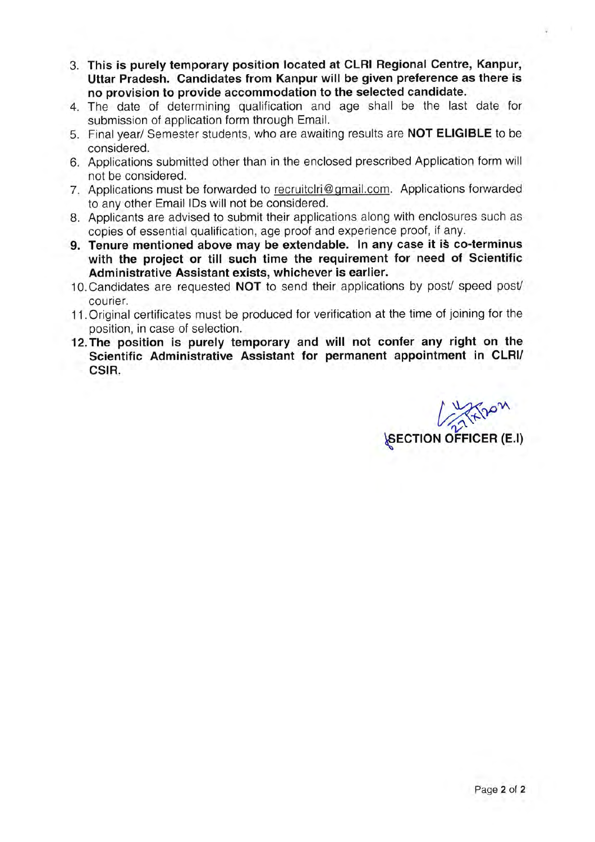- 3. This is purely temporary position located at CLRI Regional Centre, Kanpur. Uttar Pradesh. Candidates from Kanpur will be given preference as there is no provision to provide accommodation to the selected candidate.
- 4. The date of determining qualification and age shall be the last date for submission of application form through Email.
- 5. Final year/ Semester students, who are awaiting results are **NOT ELIGIBLE** to be considered.
- 6. Applications submitted other than in the enclosed prescribed Application form will not be considered.
- 7. Applications must be forwarded to recruitclri@gmail.com. Applications forwarded to any other Email IDs will not be considered.
- 8. Applicants are advised to submit their applications along with enclosures such as copies of essential qualification, age proof and experience proof, if any.
- 9. Tenure mentioned above may be extendable. In any case it is co-terminus with the project or till such time the requirement for need of Scientific Administrative Assistant exists, whichever is earlier.
- 10. Candidates are requested NOT to send their applications by post/ speed post/ courier.
- 11. Original certificates must be produced for verification at the time of joining for the position, in case of selection.
- 12. The position is purely temporary and will not confer any right on the Scientific Administrative Assistant for permanent appointment in CLRI/ CSIR.

**SECTION OFFICER (E.I)**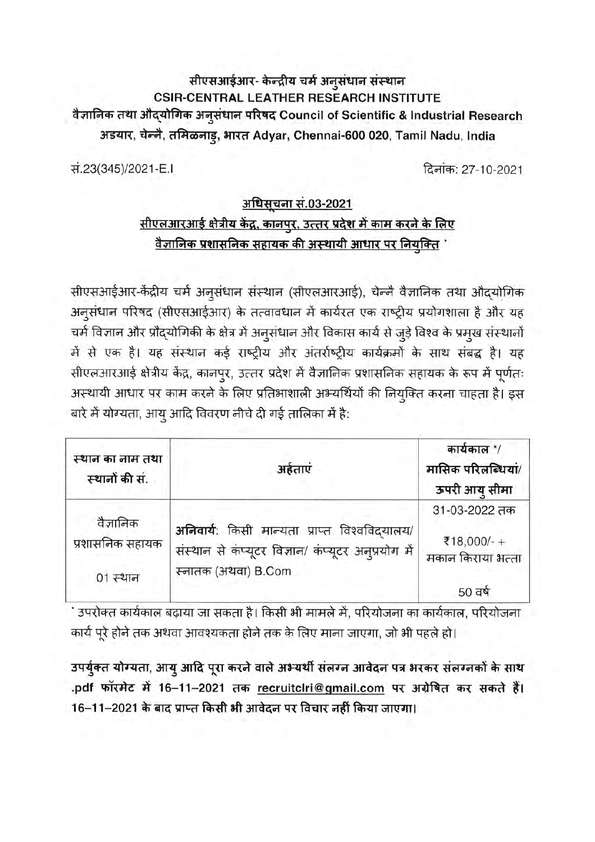### सीएसआईआर- केन्द्रीय चर्म अनुसंधान संस्थान **CSIR-CENTRAL LEATHER RESEARCH INSTITUTE** वैज्ञानिक तथा औद्योगिक अनूसंधान परिषद Council of Scientific & Industrial Research अडयार, चेन्नै, तमिळनाडू, भारत Adyar, Chennai-600 020, Tamil Nadu, India

सं.23(345)/2021-E.I

दिनांक: 27-10-2021

## अधिसूचना सं.03-2021 सीएलआरआई क्षेत्रीय केंद्र, कानपुर, उत्तर प्रदेश में काम करने के लिए <u>वैज्ञानिक प्रशासनिक सहायक की अस्थायी आधार पर नियुक्ति '</u>

सीएसआईआर-केंद्रीय चर्म अनुसंधान संस्थान (सीएलआरआई), चेन्नै वैज्ञानिक तथा औदयोगिक अनुसंधान परिषद (सीएसआईआर) के तत्वावधान में कार्यरत एक राष्ट्रीय प्रयोगशाला है और यह चर्म विज्ञान और प्रौद्योगिकी के क्षेत्र में अनुसंधान और विकास कार्य से जुड़े विश्व के प्रमुख संस्थानों में से एक है। यह संस्थान कई राष्ट्रीय और अंतर्राष्ट्रीय कार्यक्रमों के साथ संबद्ध है। यह सीएलआरआई क्षेत्रीय केंद्र, कानपुर, उत्तर प्रदेश में वैज्ञानिक प्रशासनिक सहायक के रूप में पूर्णतः अस्थायी आधार पर काम करने के लिए प्रतिभाशाली अभ्यर्थियों की नियुक्ति करना चाहता है। इस बारे में योग्यता, आयु आदि विवरण नीचे दी गई तालिका में है:

| स्थान का नाम तथा<br>स्थानों की सं.       | अर्हताएं                                                                                                                    | कार्यकाल */<br>मासिक परिलब्धियां/<br>ऊपरी आयु सीमा |
|------------------------------------------|-----------------------------------------------------------------------------------------------------------------------------|----------------------------------------------------|
| वैज्ञानिक<br>प्रशासनिक सहायक<br>01 स्थान | अनिवार्यः किसी मान्यता प्राप्त विश्वविद्यालय/<br>संस्थान से कंप्यूटर विज्ञान/ कंप्यूटर अनुप्रयोग में<br>स्नातक (अथवा) B.Com | 31-03-2022 तक<br>₹18,000/-+<br>मकान किराया भत्ता   |
|                                          |                                                                                                                             | 50 वर्ष                                            |

ं उपरोक्त कार्यकाल बढ़ाया जा सकता है। किसी भी मामले में, परियोजना का कार्यकाल, परियोजना कार्य पूरे होने तक अथवा आवश्यकता होने तक के लिए माना जाएगा, जो भी पहले हो।

उपर्युक्त योग्यता, आयु आदि पूरा करने वाले अभ्यर्थी संलग्न आवेदन पत्र भरकर संलग्नकों के साथ .pdf फॉरमेट में 16-11-2021 तक recruitclri@gmail.com पर अग्रेषित कर सकते हैं। 16–11–2021 के बाद प्राप्त किसी भी आवेदन पर विचार नहीं किया जाएगा।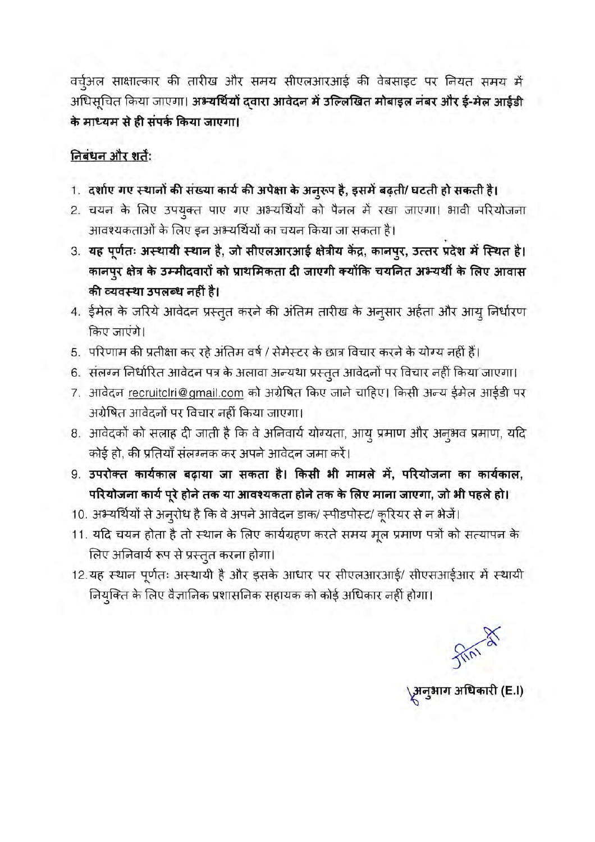वर्च्अल साक्षात्कार की तारीख और समय सीएलआरआई की वेबसाइट पर नियत समय में अधिसूचित किया जाएगा। अभ्यर्थियों दवारा आवेदन में उल्लिखित मोबाइल नंबर और ई-मेल आईडी के माध्यम से ही संपर्क किया जाएगा।

### निबंधन और शर्ते:

- 1. दर्शाए गए स्थानों की संख्या कार्य की अपेक्षा के अनूरूप है, इसमें बढ़ती/ घटती हो सकती है।
- 2. चयन के लिए उपयुक्त पाए गए अभ्यर्थियों को पैनल में रखा जाएगा। भावी परियोजना आवश्यकताओं के लिए इन अभ्यर्थियों का चयन किया जा सकता है।
- 3. यह पूर्णतः अस्थायी स्थान है, जो सीएलआरआई क्षेत्रीय केंद्र, कानपुर, उत्तर प्रदेश में स्थित है। कानपुर क्षेत्र के उम्मीदवारों को प्राथमिकता दी जाएगी क्योंकि चयनित अभ्यर्थी के लिए आवास की व्यवस्था उपलब्ध नहीं है।
- 4. ईमेल के जरिये आवेदन प्रस्तुत करने की अंतिम तारीख के अनुसार अर्हता और आयु निर्धारण किए जाएंगे।
- 5. परिणाम की प्रतीक्षा कर रहे अंतिम वर्ष / सेमेस्टर के छात्र विचार करने के योग्य नहीं हैं।
- 6. संलग्न निर्धारित आवेदन पत्र के अलावा अन्यथा प्रस्तुत आवेदनों पर विचार नहीं किया जाएगा।
- 7. आवेदन recruitclri@gmail.com को अग्रेषित किए जाने चाहिए। किसी अन्य ईमेल आईडी पर अग्रेषित आवेदनों पर विचार नहीं किया जाएगा।
- 8. आवेदकों को सलाह दी जाती है कि वे अनिवार्य योग्यता, आयु प्रमाण और अनूभव प्रमाण, यदि कोई हो, की प्रतियाँ संलग्नक कर अपने आवेदन जमा करें।
- 9. उपरोक्त कार्यकाल बढ़ाया जा सकता है। किसी भी मामले में, परियोजना का कार्यकाल, परियोजना कार्य पूरे होने तक या आवश्यकता होने तक के लिए माना जाएगा, जो भी पहले हो।
- 10. अभ्यर्थियों से अनुरोध है कि वे अपने आवेदन डाक/ स्पीडपोस्ट/ कूरियर से न भेजें।
- 11. यदि चयन होता है तो स्थान के लिए कार्यग्रहण करते समय मूल प्रमाण पत्रों को सत्यापन के लिए अनिवार्य रूप से प्रस्तुत करना होगा।
- 12.यह स्थान पूर्णतः अस्थायी है और इसके आधार पर सीएलआरआई/ सीएसआईआर में स्थायी नियुक्ति के लिए वैज्ञानिक प्रशासनिक सहायक को कोई अधिकार नहीं होगा।

्र<br>अनुभाग अधिकारी (E.I)